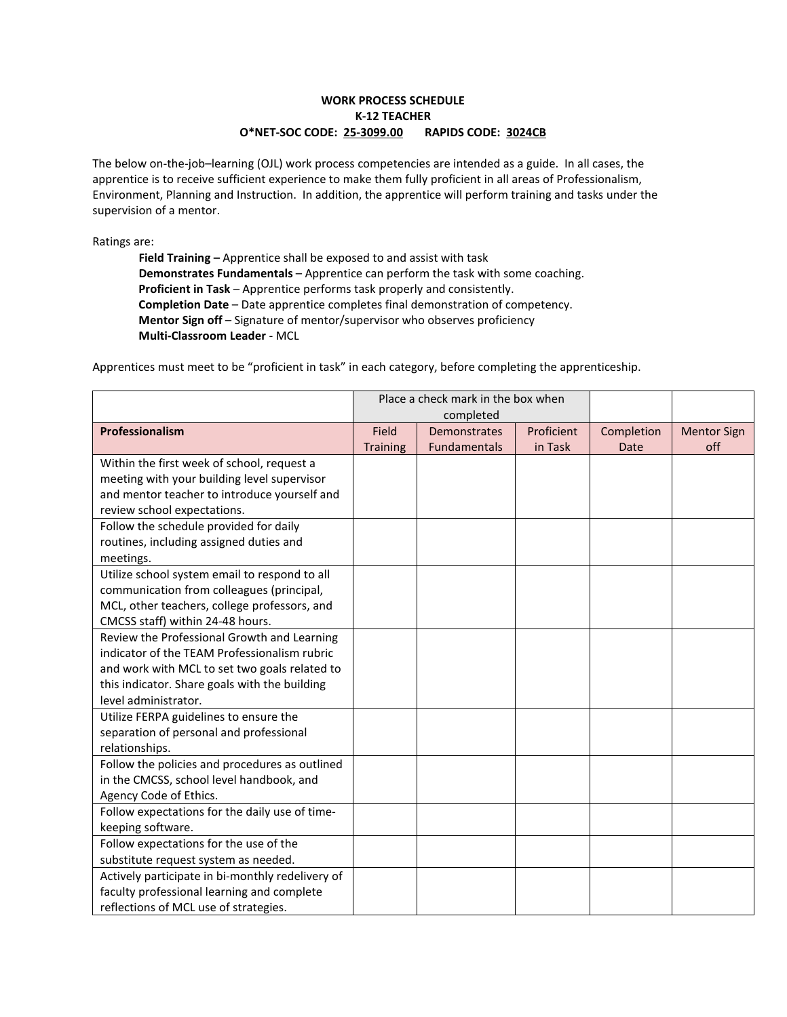# **WORK PROCESS SCHEDULE K-12 TEACHER O\*NET-SOC CODE: 25-3099.00 RAPIDS CODE: 3024CB**

The below on-the-job–learning (OJL) work process competencies are intended as a guide. In all cases, the apprentice is to receive sufficient experience to make them fully proficient in all areas of Professionalism, Environment, Planning and Instruction. In addition, the apprentice will perform training and tasks under the supervision of a mentor.

Ratings are:

**Field Training –** Apprentice shall be exposed to and assist with task **Demonstrates Fundamentals** – Apprentice can perform the task with some coaching. **Proficient in Task** – Apprentice performs task properly and consistently. **Completion Date** – Date apprentice completes final demonstration of competency. **Mentor Sign off** – Signature of mentor/supervisor who observes proficiency **Multi-Classroom Leader** - MCL

Apprentices must meet to be "proficient in task" in each category, before completing the apprenticeship.

|                                                  |                 | Place a check mark in the box when<br>completed |            |            |                    |
|--------------------------------------------------|-----------------|-------------------------------------------------|------------|------------|--------------------|
| Professionalism                                  | Field           | <b>Demonstrates</b>                             | Proficient | Completion | <b>Mentor Sign</b> |
|                                                  | <b>Training</b> | <b>Fundamentals</b>                             | in Task    | Date       | off                |
| Within the first week of school, request a       |                 |                                                 |            |            |                    |
| meeting with your building level supervisor      |                 |                                                 |            |            |                    |
| and mentor teacher to introduce yourself and     |                 |                                                 |            |            |                    |
| review school expectations.                      |                 |                                                 |            |            |                    |
| Follow the schedule provided for daily           |                 |                                                 |            |            |                    |
| routines, including assigned duties and          |                 |                                                 |            |            |                    |
| meetings.                                        |                 |                                                 |            |            |                    |
| Utilize school system email to respond to all    |                 |                                                 |            |            |                    |
| communication from colleagues (principal,        |                 |                                                 |            |            |                    |
| MCL, other teachers, college professors, and     |                 |                                                 |            |            |                    |
| CMCSS staff) within 24-48 hours.                 |                 |                                                 |            |            |                    |
| Review the Professional Growth and Learning      |                 |                                                 |            |            |                    |
| indicator of the TEAM Professionalism rubric     |                 |                                                 |            |            |                    |
| and work with MCL to set two goals related to    |                 |                                                 |            |            |                    |
| this indicator. Share goals with the building    |                 |                                                 |            |            |                    |
| level administrator.                             |                 |                                                 |            |            |                    |
| Utilize FERPA guidelines to ensure the           |                 |                                                 |            |            |                    |
| separation of personal and professional          |                 |                                                 |            |            |                    |
| relationships.                                   |                 |                                                 |            |            |                    |
| Follow the policies and procedures as outlined   |                 |                                                 |            |            |                    |
| in the CMCSS, school level handbook, and         |                 |                                                 |            |            |                    |
| Agency Code of Ethics.                           |                 |                                                 |            |            |                    |
| Follow expectations for the daily use of time-   |                 |                                                 |            |            |                    |
| keeping software.                                |                 |                                                 |            |            |                    |
| Follow expectations for the use of the           |                 |                                                 |            |            |                    |
| substitute request system as needed.             |                 |                                                 |            |            |                    |
| Actively participate in bi-monthly redelivery of |                 |                                                 |            |            |                    |
| faculty professional learning and complete       |                 |                                                 |            |            |                    |
| reflections of MCL use of strategies.            |                 |                                                 |            |            |                    |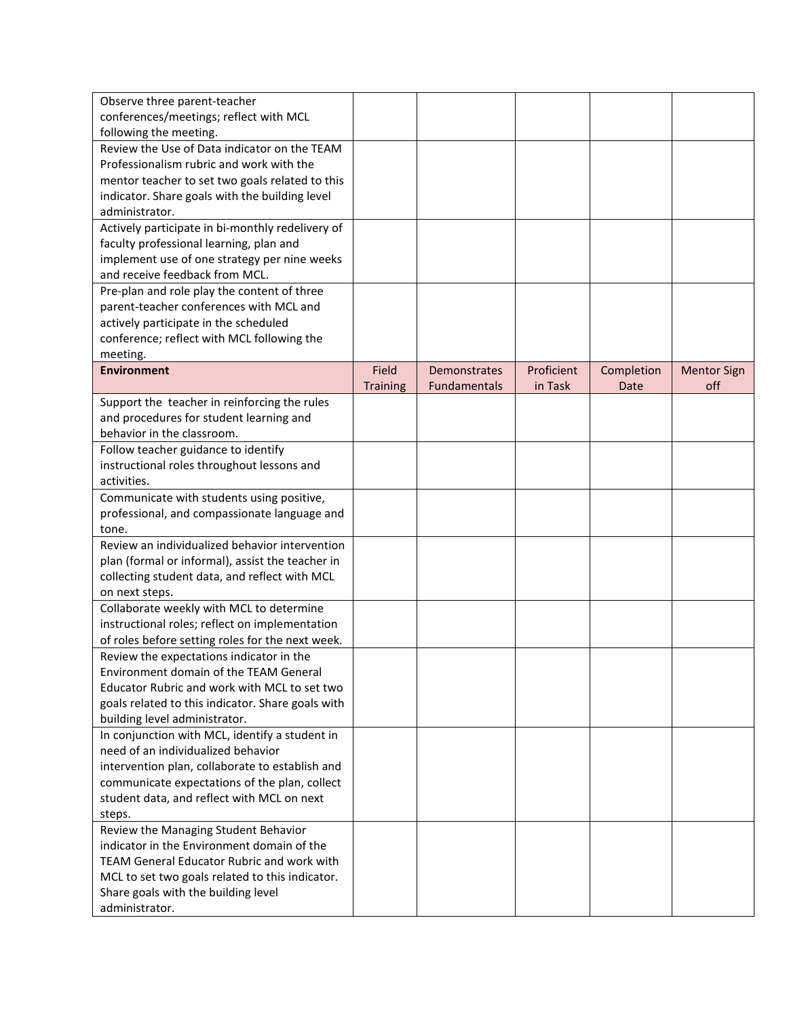| Observe three parent-teacher                                                    |                 |                     |            |            |                    |
|---------------------------------------------------------------------------------|-----------------|---------------------|------------|------------|--------------------|
| conferences/meetings; reflect with MCL                                          |                 |                     |            |            |                    |
| following the meeting.                                                          |                 |                     |            |            |                    |
| Review the Use of Data indicator on the TEAM                                    |                 |                     |            |            |                    |
| Professionalism rubric and work with the                                        |                 |                     |            |            |                    |
| mentor teacher to set two goals related to this                                 |                 |                     |            |            |                    |
| indicator. Share goals with the building level                                  |                 |                     |            |            |                    |
| administrator.                                                                  |                 |                     |            |            |                    |
| Actively participate in bi-monthly redelivery of                                |                 |                     |            |            |                    |
|                                                                                 |                 |                     |            |            |                    |
| faculty professional learning, plan and                                         |                 |                     |            |            |                    |
| implement use of one strategy per nine weeks                                    |                 |                     |            |            |                    |
| and receive feedback from MCL.                                                  |                 |                     |            |            |                    |
| Pre-plan and role play the content of three                                     |                 |                     |            |            |                    |
| parent-teacher conferences with MCL and                                         |                 |                     |            |            |                    |
| actively participate in the scheduled                                           |                 |                     |            |            |                    |
| conference; reflect with MCL following the                                      |                 |                     |            |            |                    |
| meeting.                                                                        |                 |                     |            |            |                    |
| <b>Environment</b>                                                              | Field           | <b>Demonstrates</b> | Proficient | Completion | <b>Mentor Sign</b> |
|                                                                                 | <b>Training</b> | Fundamentals        | in Task    | Date       | off                |
| Support the teacher in reinforcing the rules                                    |                 |                     |            |            |                    |
| and procedures for student learning and                                         |                 |                     |            |            |                    |
| behavior in the classroom.                                                      |                 |                     |            |            |                    |
| Follow teacher guidance to identify                                             |                 |                     |            |            |                    |
| instructional roles throughout lessons and                                      |                 |                     |            |            |                    |
| activities.                                                                     |                 |                     |            |            |                    |
| Communicate with students using positive,                                       |                 |                     |            |            |                    |
| professional, and compassionate language and                                    |                 |                     |            |            |                    |
| tone.                                                                           |                 |                     |            |            |                    |
| Review an individualized behavior intervention                                  |                 |                     |            |            |                    |
| plan (formal or informal), assist the teacher in                                |                 |                     |            |            |                    |
| collecting student data, and reflect with MCL                                   |                 |                     |            |            |                    |
| on next steps.                                                                  |                 |                     |            |            |                    |
| Collaborate weekly with MCL to determine                                        |                 |                     |            |            |                    |
| instructional roles; reflect on implementation                                  |                 |                     |            |            |                    |
| of roles before setting roles for the next week.                                |                 |                     |            |            |                    |
| Review the expectations indicator in the                                        |                 |                     |            |            |                    |
| <b>Environment domain of the TEAM General</b>                                   |                 |                     |            |            |                    |
| Educator Rubric and work with MCL to set two                                    |                 |                     |            |            |                    |
| goals related to this indicator. Share goals with                               |                 |                     |            |            |                    |
|                                                                                 |                 |                     |            |            |                    |
| building level administrator.<br>In conjunction with MCL, identify a student in |                 |                     |            |            |                    |
| need of an individualized behavior                                              |                 |                     |            |            |                    |
|                                                                                 |                 |                     |            |            |                    |
| intervention plan, collaborate to establish and                                 |                 |                     |            |            |                    |
| communicate expectations of the plan, collect                                   |                 |                     |            |            |                    |
| student data, and reflect with MCL on next                                      |                 |                     |            |            |                    |
| steps.                                                                          |                 |                     |            |            |                    |
| Review the Managing Student Behavior                                            |                 |                     |            |            |                    |
| indicator in the Environment domain of the                                      |                 |                     |            |            |                    |
| TEAM General Educator Rubric and work with                                      |                 |                     |            |            |                    |
| MCL to set two goals related to this indicator.                                 |                 |                     |            |            |                    |
| Share goals with the building level                                             |                 |                     |            |            |                    |
| administrator.                                                                  |                 |                     |            |            |                    |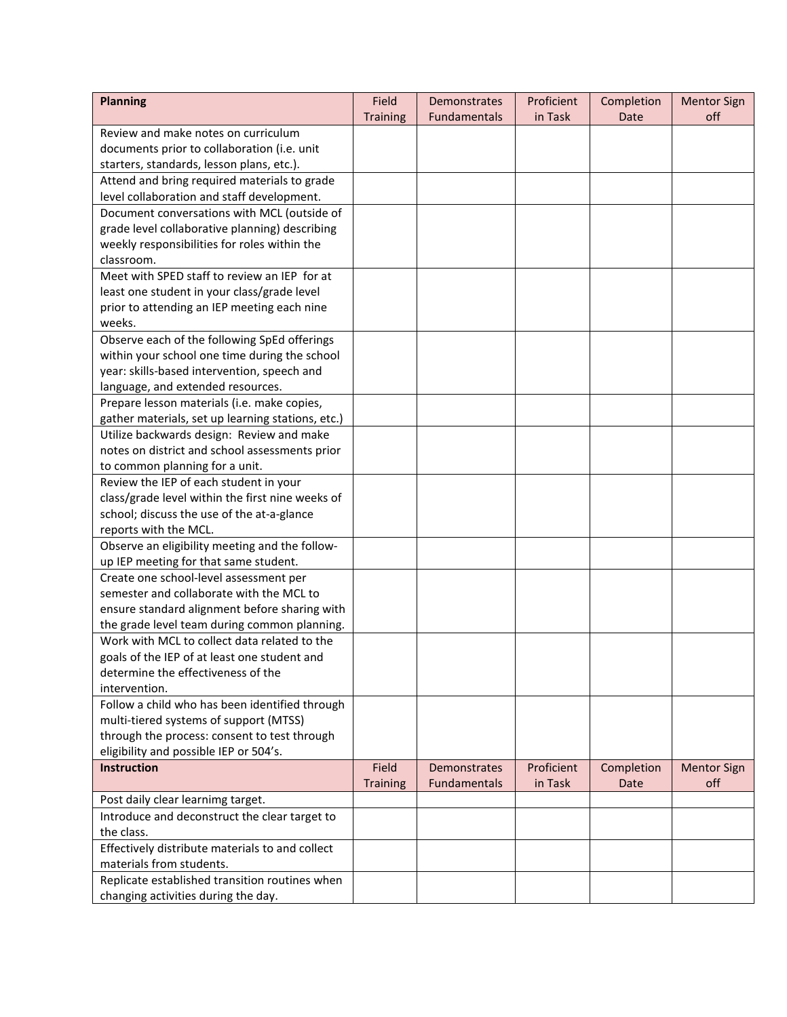| <b>Planning</b>                                   | Field           | Demonstrates        | Proficient | Completion | <b>Mentor Sign</b> |
|---------------------------------------------------|-----------------|---------------------|------------|------------|--------------------|
|                                                   | <b>Training</b> | <b>Fundamentals</b> | in Task    | Date       | off                |
| Review and make notes on curriculum               |                 |                     |            |            |                    |
| documents prior to collaboration (i.e. unit       |                 |                     |            |            |                    |
| starters, standards, lesson plans, etc.).         |                 |                     |            |            |                    |
| Attend and bring required materials to grade      |                 |                     |            |            |                    |
| level collaboration and staff development.        |                 |                     |            |            |                    |
| Document conversations with MCL (outside of       |                 |                     |            |            |                    |
| grade level collaborative planning) describing    |                 |                     |            |            |                    |
| weekly responsibilities for roles within the      |                 |                     |            |            |                    |
| classroom.                                        |                 |                     |            |            |                    |
| Meet with SPED staff to review an IEP for at      |                 |                     |            |            |                    |
| least one student in your class/grade level       |                 |                     |            |            |                    |
| prior to attending an IEP meeting each nine       |                 |                     |            |            |                    |
| weeks.                                            |                 |                     |            |            |                    |
| Observe each of the following SpEd offerings      |                 |                     |            |            |                    |
| within your school one time during the school     |                 |                     |            |            |                    |
| year: skills-based intervention, speech and       |                 |                     |            |            |                    |
| language, and extended resources.                 |                 |                     |            |            |                    |
| Prepare lesson materials (i.e. make copies,       |                 |                     |            |            |                    |
| gather materials, set up learning stations, etc.) |                 |                     |            |            |                    |
| Utilize backwards design: Review and make         |                 |                     |            |            |                    |
| notes on district and school assessments prior    |                 |                     |            |            |                    |
| to common planning for a unit.                    |                 |                     |            |            |                    |
| Review the IEP of each student in your            |                 |                     |            |            |                    |
| class/grade level within the first nine weeks of  |                 |                     |            |            |                    |
| school; discuss the use of the at-a-glance        |                 |                     |            |            |                    |
| reports with the MCL.                             |                 |                     |            |            |                    |
| Observe an eligibility meeting and the follow-    |                 |                     |            |            |                    |
| up IEP meeting for that same student.             |                 |                     |            |            |                    |
| Create one school-level assessment per            |                 |                     |            |            |                    |
| semester and collaborate with the MCL to          |                 |                     |            |            |                    |
| ensure standard alignment before sharing with     |                 |                     |            |            |                    |
| the grade level team during common planning.      |                 |                     |            |            |                    |
| Work with MCL to collect data related to the      |                 |                     |            |            |                    |
| goals of the IEP of at least one student and      |                 |                     |            |            |                    |
| determine the effectiveness of the                |                 |                     |            |            |                    |
| intervention.                                     |                 |                     |            |            |                    |
| Follow a child who has been identified through    |                 |                     |            |            |                    |
| multi-tiered systems of support (MTSS)            |                 |                     |            |            |                    |
| through the process: consent to test through      |                 |                     |            |            |                    |
| eligibility and possible IEP or 504's.            |                 |                     |            |            |                    |
| <b>Instruction</b>                                | Field           | <b>Demonstrates</b> | Proficient | Completion | <b>Mentor Sign</b> |
|                                                   | <b>Training</b> | Fundamentals        | in Task    | Date       | off                |
| Post daily clear learnimg target.                 |                 |                     |            |            |                    |
| Introduce and deconstruct the clear target to     |                 |                     |            |            |                    |
| the class.                                        |                 |                     |            |            |                    |
| Effectively distribute materials to and collect   |                 |                     |            |            |                    |
| materials from students.                          |                 |                     |            |            |                    |
| Replicate established transition routines when    |                 |                     |            |            |                    |
| changing activities during the day.               |                 |                     |            |            |                    |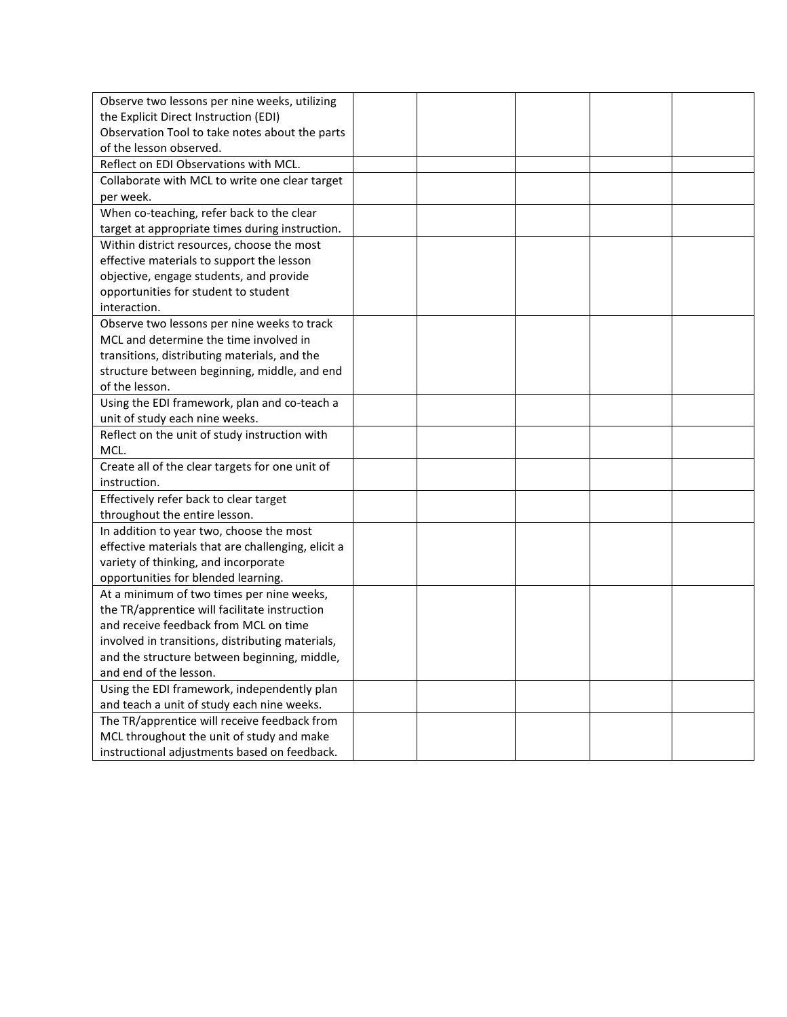| Observe two lessons per nine weeks, utilizing      |  |  |  |
|----------------------------------------------------|--|--|--|
| the Explicit Direct Instruction (EDI)              |  |  |  |
| Observation Tool to take notes about the parts     |  |  |  |
| of the lesson observed.                            |  |  |  |
| Reflect on EDI Observations with MCL.              |  |  |  |
| Collaborate with MCL to write one clear target     |  |  |  |
| per week.                                          |  |  |  |
| When co-teaching, refer back to the clear          |  |  |  |
| target at appropriate times during instruction.    |  |  |  |
| Within district resources, choose the most         |  |  |  |
| effective materials to support the lesson          |  |  |  |
| objective, engage students, and provide            |  |  |  |
| opportunities for student to student               |  |  |  |
| interaction.                                       |  |  |  |
| Observe two lessons per nine weeks to track        |  |  |  |
| MCL and determine the time involved in             |  |  |  |
| transitions, distributing materials, and the       |  |  |  |
| structure between beginning, middle, and end       |  |  |  |
| of the lesson.                                     |  |  |  |
| Using the EDI framework, plan and co-teach a       |  |  |  |
| unit of study each nine weeks.                     |  |  |  |
| Reflect on the unit of study instruction with      |  |  |  |
| MCL.                                               |  |  |  |
| Create all of the clear targets for one unit of    |  |  |  |
| instruction.                                       |  |  |  |
| Effectively refer back to clear target             |  |  |  |
| throughout the entire lesson.                      |  |  |  |
| In addition to year two, choose the most           |  |  |  |
| effective materials that are challenging, elicit a |  |  |  |
| variety of thinking, and incorporate               |  |  |  |
| opportunities for blended learning.                |  |  |  |
| At a minimum of two times per nine weeks,          |  |  |  |
| the TR/apprentice will facilitate instruction      |  |  |  |
| and receive feedback from MCL on time              |  |  |  |
| involved in transitions, distributing materials,   |  |  |  |
| and the structure between beginning, middle,       |  |  |  |
| and end of the lesson.                             |  |  |  |
| Using the EDI framework, independently plan        |  |  |  |
| and teach a unit of study each nine weeks.         |  |  |  |
| The TR/apprentice will receive feedback from       |  |  |  |
| MCL throughout the unit of study and make          |  |  |  |
| instructional adjustments based on feedback.       |  |  |  |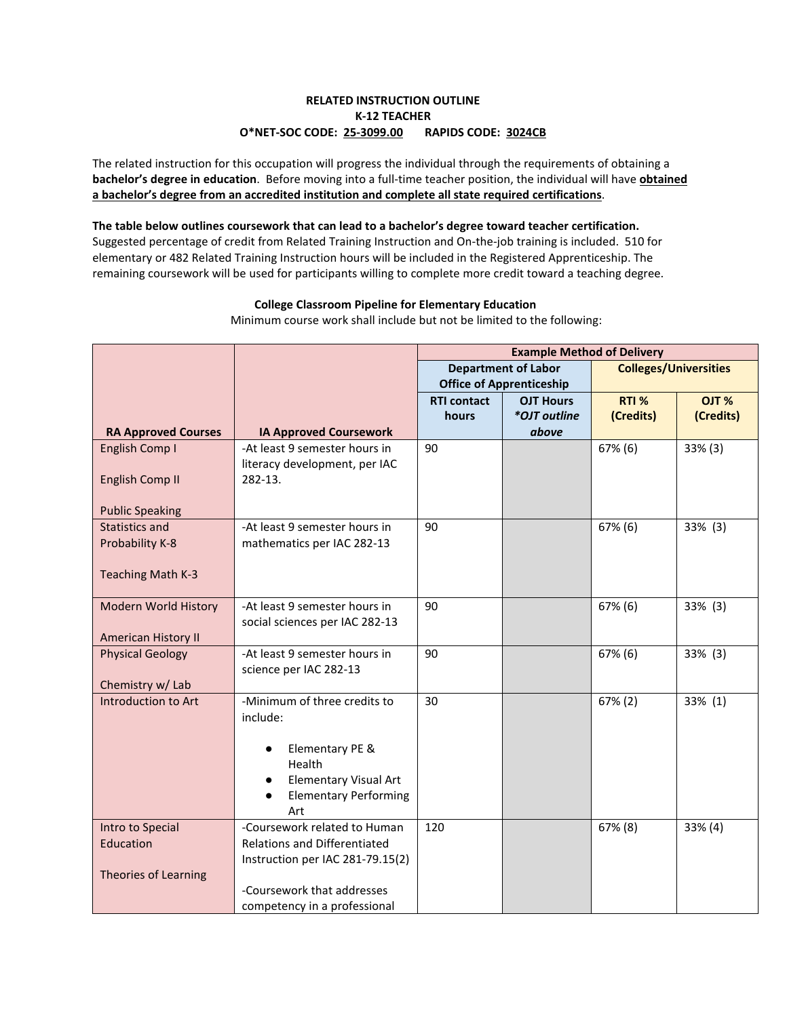# **RELATED INSTRUCTION OUTLINE K-12 TEACHER O\*NET-SOC CODE: 25-3099.00 RAPIDS CODE: 3024CB**

The related instruction for this occupation will progress the individual through the requirements of obtaining a **bachelor's degree in education**. Before moving into a full-time teacher position, the individual will have **obtained a bachelor's degree from an accredited institution and complete all state required certifications**.

### **The table below outlines coursework that can lead to a bachelor's degree toward teacher certification.**

Suggested percentage of credit from Related Training Instruction and On-the-job training is included. 510 for elementary or 482 Related Training Instruction hours will be included in the Registered Apprenticeship. The remaining coursework will be used for participants willing to complete more credit toward a teaching degree.

### **College Classroom Pipeline for Elementary Education**

**RA Approved Courses IA Approved Coursework Example Method of Delivery Department of Labor Office of Apprenticeship Colleges/Universities RTI contact hours OJT Hours** *\*OJT outline above* **RTI % (Credits) OJT % (Credits)** English Comp I English Comp II Public Speaking -At least 9 semester hours in literacy development, per IAC 282-13. 90 67% (6) 33% (3) Statistics and Probability K-8 Teaching Math K-3 -At least 9 semester hours in mathematics per IAC 282-13 90 67% (6) 33% (3) Modern World History American History II -At least 9 semester hours in social sciences per IAC 282-13 90 67% (6) 33% (3) Physical Geology Chemistry w/ Lab -At least 9 semester hours in science per IAC 282-13 90 67% (6) 33% (3) Introduction to Art  $\vert$  -Minimum of three credits to include: ● Elementary PE & Health **Elementary Visual Art Elementary Performing** Art 30 67% (2) 33% (1) Intro to Special Education Theories of Learning -Coursework related to Human Relations and Differentiated Instruction per IAC 281-79.15(2) -Coursework that addresses competency in a professional 120  $\vert$  67% (8) 33% (4)

Minimum course work shall include but not be limited to the following: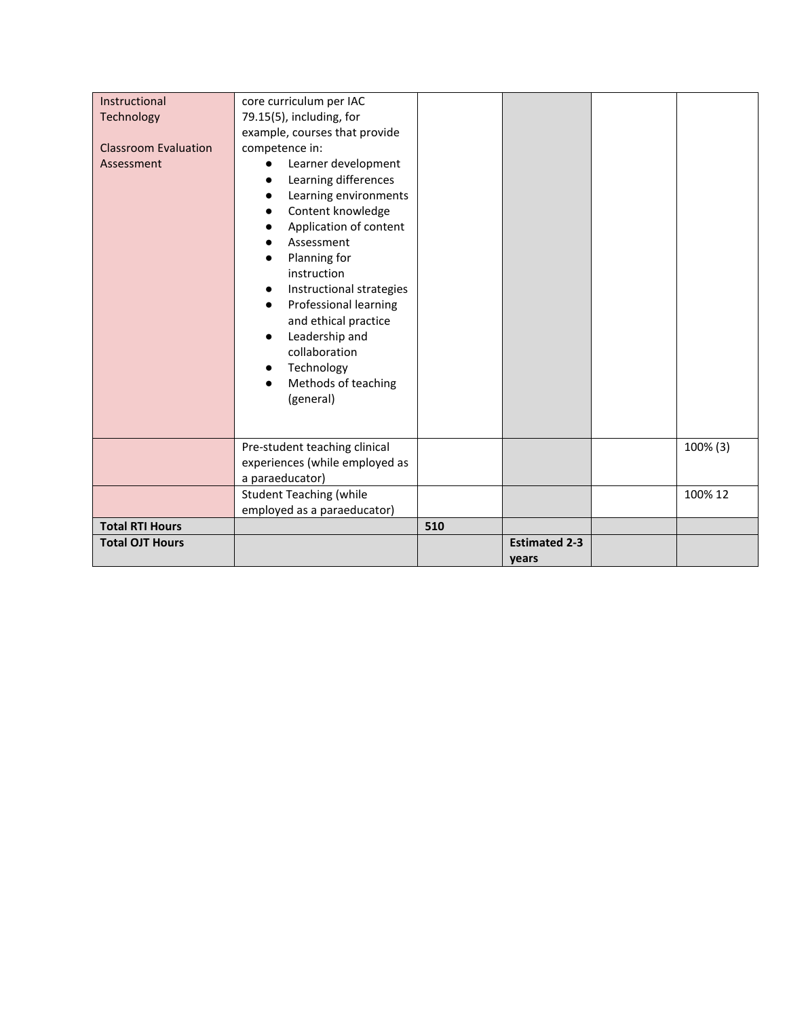| Instructional               | core curriculum per IAC                                                                                                                                                                                                                                                                                                            |     |                      |          |
|-----------------------------|------------------------------------------------------------------------------------------------------------------------------------------------------------------------------------------------------------------------------------------------------------------------------------------------------------------------------------|-----|----------------------|----------|
| Technology                  | 79.15(5), including, for                                                                                                                                                                                                                                                                                                           |     |                      |          |
|                             | example, courses that provide                                                                                                                                                                                                                                                                                                      |     |                      |          |
| <b>Classroom Evaluation</b> | competence in:                                                                                                                                                                                                                                                                                                                     |     |                      |          |
| Assessment                  | Learner development<br>Learning differences<br>Learning environments<br>Content knowledge<br>Application of content<br>Assessment<br>Planning for<br>instruction<br>Instructional strategies<br>Professional learning<br>and ethical practice<br>Leadership and<br>collaboration<br>Technology<br>Methods of teaching<br>(general) |     |                      |          |
|                             | Pre-student teaching clinical                                                                                                                                                                                                                                                                                                      |     |                      | 100% (3) |
|                             | experiences (while employed as                                                                                                                                                                                                                                                                                                     |     |                      |          |
|                             | a paraeducator)                                                                                                                                                                                                                                                                                                                    |     |                      |          |
|                             | <b>Student Teaching (while</b>                                                                                                                                                                                                                                                                                                     |     |                      | 100% 12  |
|                             | employed as a paraeducator)                                                                                                                                                                                                                                                                                                        |     |                      |          |
| <b>Total RTI Hours</b>      |                                                                                                                                                                                                                                                                                                                                    | 510 |                      |          |
| <b>Total OJT Hours</b>      |                                                                                                                                                                                                                                                                                                                                    |     | <b>Estimated 2-3</b> |          |
|                             |                                                                                                                                                                                                                                                                                                                                    |     | years                |          |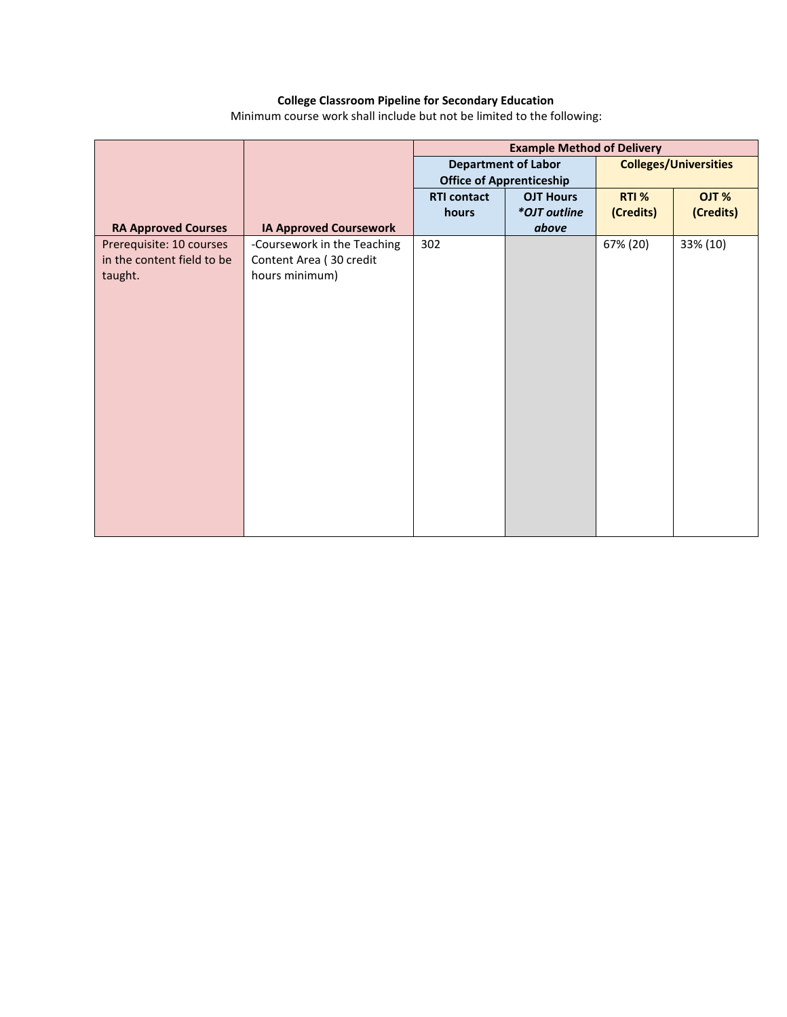### **College Classroom Pipeline for Secondary Education**

Minimum course work shall include but not be limited to the following:

|                                                                   |                                                                          | <b>Example Method of Delivery</b>                             |                  |                              |           |
|-------------------------------------------------------------------|--------------------------------------------------------------------------|---------------------------------------------------------------|------------------|------------------------------|-----------|
|                                                                   |                                                                          | <b>Department of Labor</b><br><b>Office of Apprenticeship</b> |                  | <b>Colleges/Universities</b> |           |
|                                                                   |                                                                          | <b>RTI contact</b>                                            | <b>OJT Hours</b> | RTI %                        | OJT %     |
|                                                                   |                                                                          | hours                                                         | *OJT outline     | (Credits)                    | (Credits) |
| <b>RA Approved Courses</b>                                        | <b>IA Approved Coursework</b>                                            |                                                               | above            |                              |           |
| Prerequisite: 10 courses<br>in the content field to be<br>taught. | -Coursework in the Teaching<br>Content Area (30 credit<br>hours minimum) | 302                                                           |                  | 67% (20)                     | 33% (10)  |